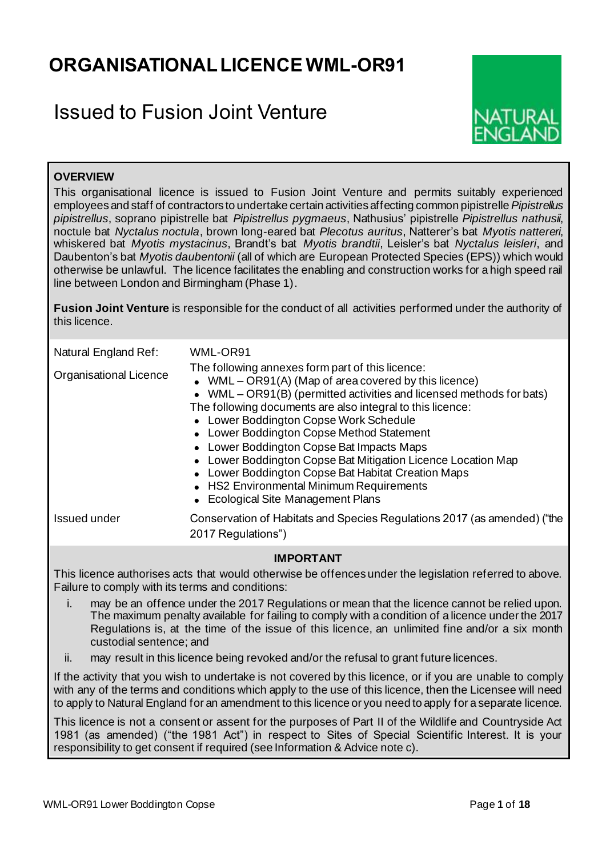## **ORGANISATIONAL LICENCE WML-OR91**

## Issued to Fusion Joint Venture



## **OVERVIEW**

This organisational licence is issued to Fusion Joint Venture and permits suitably experienced employees and staff of contractors to undertake certain activities affecting common pipistrelle *Pipistrellus pipistrellus*, soprano pipistrelle bat *Pipistrellus pygmaeus*, Nathusius' pipistrelle *Pipistrellus nathusii*, noctule bat *Nyctalus noctula*, brown long-eared bat *Plecotus auritus*, Natterer's bat *Myotis nattereri*, whiskered bat *Myotis mystacinus*, Brandt's bat *Myotis brandtii*, Leisler's bat *Nyctalus leisleri*, and Daubenton's bat *Myotis daubentonii* (all of which are European Protected Species (EPS)) which would otherwise be unlawful. The licence facilitates the enabling and construction works for a high speed rail line between London and Birmingham (Phase 1).

**Fusion Joint Venture** is responsible for the conduct of all activities performed under the authority of this licence.

| Natural England Ref:<br><b>Organisational Licence</b> | WML-OR91<br>The following annexes form part of this licence:<br>• WML – OR91(A) (Map of area covered by this licence)<br>• WML – OR91(B) (permitted activities and licensed methods for bats)<br>The following documents are also integral to this licence:<br>• Lower Boddington Copse Work Schedule<br>• Lower Boddington Copse Method Statement<br>• Lower Boddington Copse Bat Impacts Maps<br>• Lower Boddington Copse Bat Mitigation Licence Location Map<br>• Lower Boddington Copse Bat Habitat Creation Maps<br>• HS2 Environmental Minimum Requirements<br>• Ecological Site Management Plans |
|-------------------------------------------------------|---------------------------------------------------------------------------------------------------------------------------------------------------------------------------------------------------------------------------------------------------------------------------------------------------------------------------------------------------------------------------------------------------------------------------------------------------------------------------------------------------------------------------------------------------------------------------------------------------------|
| Issued under                                          | Conservation of Habitats and Species Regulations 2017 (as amended) ("the<br>2017 Regulations")                                                                                                                                                                                                                                                                                                                                                                                                                                                                                                          |

#### **IMPORTANT**

This licence authorises acts that would otherwise be offences under the legislation referred to above. Failure to comply with its terms and conditions:

- i. may be an offence under the 2017 Regulations or mean that the licence cannot be relied upon. The maximum penalty available for failing to comply with a condition of a licence under the 2017 Regulations is, at the time of the issue of this licence, an unlimited fine and/or a six month custodial sentence; and
- ii. may result in this licence being revoked and/or the refusal to grant future licences.

If the activity that you wish to undertake is not covered by this licence, or if you are unable to comply with any of the terms and conditions which apply to the use of this licence, then the Licensee will need to apply to Natural England for an amendment to this licence or you need to apply for a separate licence.

This licence is not a consent or assent for the purposes of Part II of the Wildlife and Countryside Act 1981 (as amended) ("the 1981 Act") in respect to Sites of Special Scientific Interest. It is your responsibility to get consent if required (see Information & Advice note c).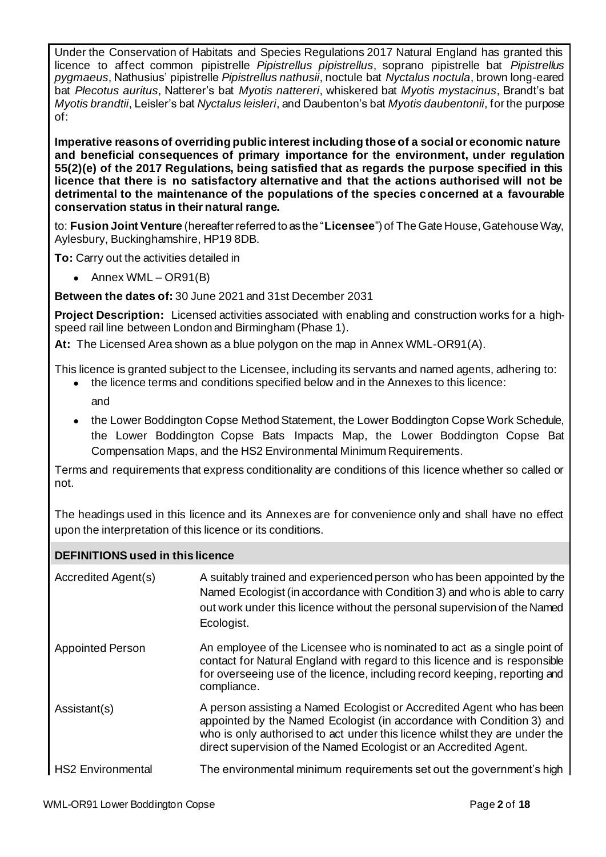Under the Conservation of Habitats and Species Regulations 2017 Natural England has granted this licence to affect common pipistrelle *Pipistrellus pipistrellus*, soprano pipistrelle bat *Pipistrellus pygmaeus*, Nathusius' pipistrelle *Pipistrellus nathusii*, noctule bat *Nyctalus noctula*, brown long-eared bat *Plecotus auritus*, Natterer's bat *Myotis nattereri*, whiskered bat *Myotis mystacinus*, Brandt's bat *Myotis brandtii*, Leisler's bat *Nyctalus leisleri*, and Daubenton's bat *Myotis daubentonii*, for the purpose of:

**Imperative reasons of overriding public interest including those of a social or economic nature and beneficial consequences of primary importance for the environment, under regulation 55(2)(e) of the 2017 Regulations, being satisfied that as regards the purpose specified in this licence that there is no satisfactory alternative and that the actions authorised will not be detrimental to the maintenance of the populations of the species concerned at a favourable conservation status in their natural range.**

to: **Fusion Joint Venture** (hereafter referred to as the "**Licensee**") of The Gate House, Gatehouse Way, Aylesbury, Buckinghamshire, HP19 8DB.

**To:** Carry out the activities detailed in

• Annex WML – OR91(B)

**Between the dates of:** 30 June 2021 and 31st December 2031

**Project Description:** Licensed activities associated with enabling and construction works for a highspeed rail line between London and Birmingham (Phase 1).

**At:** The Licensed Area shown as a blue polygon on the map in Annex WML-OR91(A).

This licence is granted subject to the Licensee, including its servants and named agents, adhering to:

- the licence terms and conditions specified below and in the Annexes to this licence:
	- and
- the Lower Boddington Copse Method Statement, the Lower Boddington Copse Work Schedule, the Lower Boddington Copse Bats Impacts Map, the Lower Boddington Copse Bat Compensation Maps, and the HS2 Environmental Minimum Requirements.

Terms and requirements that express conditionality are conditions of this licence whether so called or not.

The headings used in this licence and its Annexes are for convenience only and shall have no effect upon the interpretation of this licence or its conditions.

## **DEFINITIONS used in this licence**

| Accredited Agent(s)      | A suitably trained and experienced person who has been appointed by the<br>Named Ecologist (in accordance with Condition 3) and who is able to carry<br>out work under this licence without the personal supervision of the Named<br>Ecologist.                                                   |
|--------------------------|---------------------------------------------------------------------------------------------------------------------------------------------------------------------------------------------------------------------------------------------------------------------------------------------------|
| <b>Appointed Person</b>  | An employee of the Licensee who is nominated to act as a single point of<br>contact for Natural England with regard to this licence and is responsible<br>for overseeing use of the licence, including record keeping, reporting and<br>compliance.                                               |
| Assistant(s)             | A person assisting a Named Ecologist or Accredited Agent who has been<br>appointed by the Named Ecologist (in accordance with Condition 3) and<br>who is only authorised to act under this licence whilst they are under the<br>direct supervision of the Named Ecologist or an Accredited Agent. |
| <b>HS2 Environmental</b> | The environmental minimum requirements set out the government's high                                                                                                                                                                                                                              |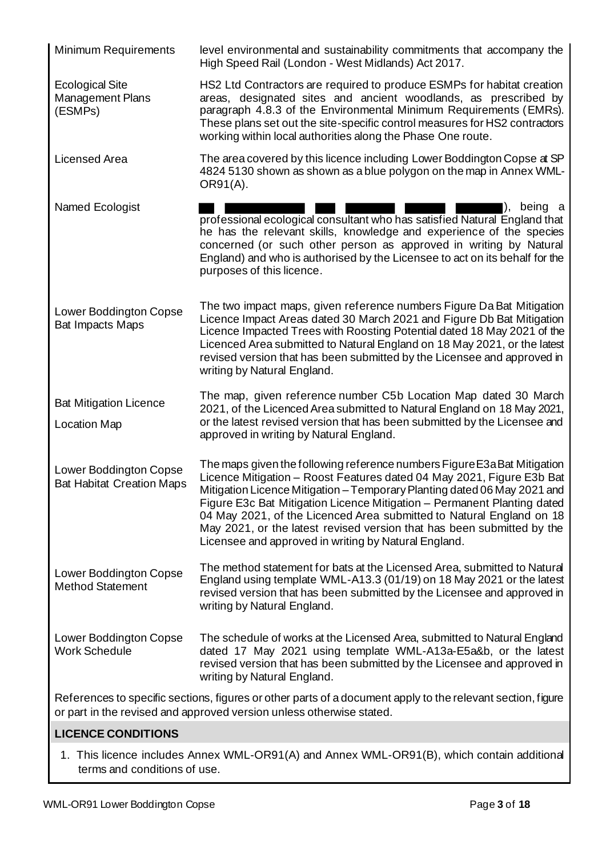| <b>Minimum Requirements</b>                                | level environmental and sustainability commitments that accompany the<br>High Speed Rail (London - West Midlands) Act 2017.                                                                                                                                                                                                                                                                                                                                                                                        |
|------------------------------------------------------------|--------------------------------------------------------------------------------------------------------------------------------------------------------------------------------------------------------------------------------------------------------------------------------------------------------------------------------------------------------------------------------------------------------------------------------------------------------------------------------------------------------------------|
| <b>Ecological Site</b><br>Management Plans<br>(ESMPs)      | HS2 Ltd Contractors are required to produce ESMPs for habitat creation<br>areas, designated sites and ancient woodlands, as prescribed by<br>paragraph 4.8.3 of the Environmental Minimum Requirements (EMRs).<br>These plans set out the site-specific control measures for HS2 contractors<br>working within local authorities along the Phase One route.                                                                                                                                                        |
| <b>Licensed Area</b>                                       | The area covered by this licence including Lower Boddington Copse at SP<br>4824 5130 shown as shown as a blue polygon on the map in Annex WML-<br>OR91(A).                                                                                                                                                                                                                                                                                                                                                         |
| Named Ecologist                                            | being a<br>$\mathsf{D}$ .<br>professional ecological consultant who has satisfied Natural England that<br>he has the relevant skills, knowledge and experience of the species<br>concerned (or such other person as approved in writing by Natural<br>England) and who is authorised by the Licensee to act on its behalf for the<br>purposes of this licence.                                                                                                                                                     |
| <b>Lower Boddington Copse</b><br><b>Bat Impacts Maps</b>   | The two impact maps, given reference numbers Figure Da Bat Mitigation<br>Licence Impact Areas dated 30 March 2021 and Figure Db Bat Mitigation<br>Licence Impacted Trees with Roosting Potential dated 18 May 2021 of the<br>Licenced Area submitted to Natural England on 18 May 2021, or the latest<br>revised version that has been submitted by the Licensee and approved in<br>writing by Natural England.                                                                                                    |
| <b>Bat Mitigation Licence</b><br><b>Location Map</b>       | The map, given reference number C5b Location Map dated 30 March<br>2021, of the Licenced Area submitted to Natural England on 18 May 2021,<br>or the latest revised version that has been submitted by the Licensee and<br>approved in writing by Natural England.                                                                                                                                                                                                                                                 |
| Lower Boddington Copse<br><b>Bat Habitat Creation Maps</b> | The maps given the following reference numbers Figure E3a Bat Mitigation<br>Licence Mitigation - Roost Features dated 04 May 2021, Figure E3b Bat<br>Mitigation Licence Mitigation - Temporary Planting dated 06 May 2021 and<br>Figure E3c Bat Mitigation Licence Mitigation - Permanent Planting dated<br>04 May 2021, of the Licenced Area submitted to Natural England on 18<br>May 2021, or the latest revised version that has been submitted by the<br>Licensee and approved in writing by Natural England. |
| Lower Boddington Copse<br><b>Method Statement</b>          | The method statement for bats at the Licensed Area, submitted to Natural<br>England using template WML-A13.3 (01/19) on 18 May 2021 or the latest<br>revised version that has been submitted by the Licensee and approved in<br>writing by Natural England.                                                                                                                                                                                                                                                        |
| Lower Boddington Copse<br><b>Work Schedule</b>             | The schedule of works at the Licensed Area, submitted to Natural England<br>dated 17 May 2021 using template WML-A13a-E5a&b, or the latest<br>revised version that has been submitted by the Licensee and approved in<br>writing by Natural England.                                                                                                                                                                                                                                                               |
|                                                            | References to specific sections, figures or other parts of a document apply to the relevant section, figure<br>or part in the revised and approved version unless otherwise stated.                                                                                                                                                                                                                                                                                                                                |
| <b>LICENCE CONDITIONS</b>                                  |                                                                                                                                                                                                                                                                                                                                                                                                                                                                                                                    |

1. This licence includes Annex WML-OR91(A) and Annex WML-OR91(B), which contain additional terms and conditions of use.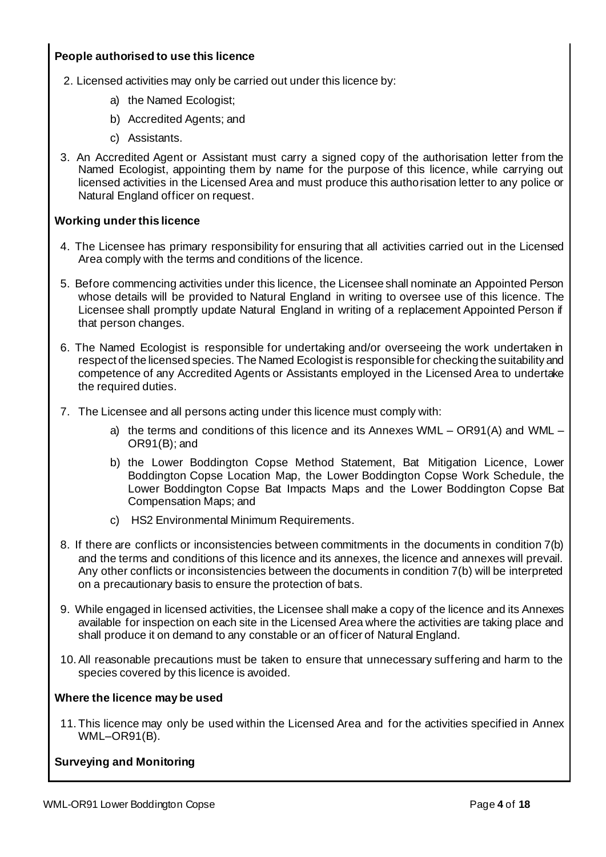## **People authorised to use this licence**

- 2. Licensed activities may only be carried out under this licence by:
	- a) the Named Ecologist;
	- b) Accredited Agents; and
	- c) Assistants.
- 3. An Accredited Agent or Assistant must carry a signed copy of the authorisation letter from the Named Ecologist, appointing them by name for the purpose of this licence, while carrying out licensed activities in the Licensed Area and must produce this authorisation letter to any police or Natural England officer on request.

## **Working under this licence**

- 4. The Licensee has primary responsibility for ensuring that all activities carried out in the Licensed Area comply with the terms and conditions of the licence.
- 5. Before commencing activities under this licence, the Licensee shall nominate an Appointed Person whose details will be provided to Natural England in writing to oversee use of this licence. The Licensee shall promptly update Natural England in writing of a replacement Appointed Person if that person changes.
- 6. The Named Ecologist is responsible for undertaking and/or overseeing the work undertaken in respect of the licensed species. The Named Ecologist is responsible for checking the suitability and competence of any Accredited Agents or Assistants employed in the Licensed Area to undertake the required duties.
- 7. The Licensee and all persons acting under this licence must comply with:
	- a) the terms and conditions of this licence and its Annexes WML OR91(A) and WML OR91(B); and
	- b) the Lower Boddington Copse Method Statement, Bat Mitigation Licence, Lower Boddington Copse Location Map, the Lower Boddington Copse Work Schedule, the Lower Boddington Copse Bat Impacts Maps and the Lower Boddington Copse Bat Compensation Maps; and
	- c) HS2 Environmental Minimum Requirements.
- 8. If there are conflicts or inconsistencies between commitments in the documents in condition 7(b) and the terms and conditions of this licence and its annexes, the licence and annexes will prevail. Any other conflicts or inconsistencies between the documents in condition 7(b) will be interpreted on a precautionary basis to ensure the protection of bats.
- 9. While engaged in licensed activities, the Licensee shall make a copy of the licence and its Annexes available for inspection on each site in the Licensed Area where the activities are taking place and shall produce it on demand to any constable or an of ficer of Natural England.
- 10.All reasonable precautions must be taken to ensure that unnecessary suffering and harm to the species covered by this licence is avoided.

## **Where the licence may be used**

11. This licence may only be used within the Licensed Area and for the activities specified in Annex WML–OR91(B).

## **Surveying and Monitoring**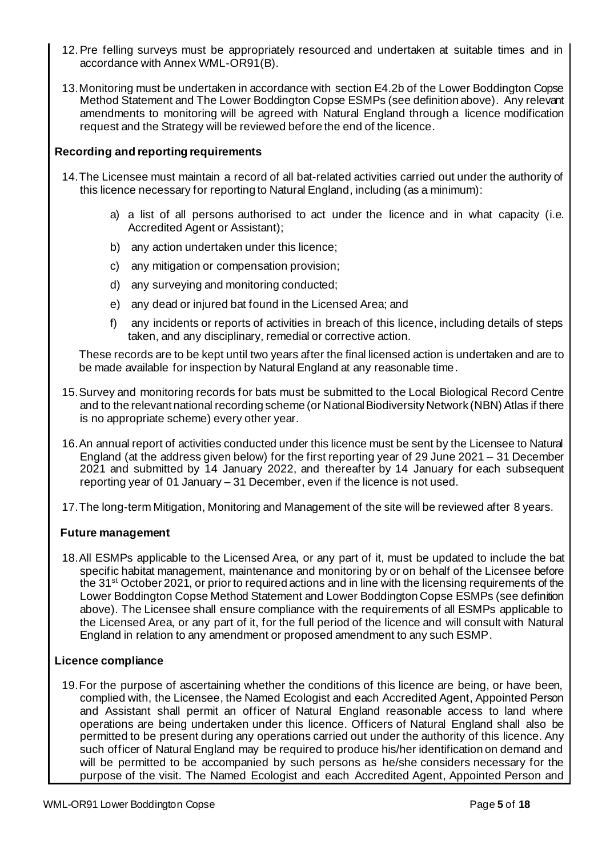- 12.Pre felling surveys must be appropriately resourced and undertaken at suitable times and in accordance with Annex WML-OR91(B).
- 13.Monitoring must be undertaken in accordance with section E4.2b of the Lower Boddington Copse Method Statement and The Lower Boddington Copse ESMPs (see definition above). Any relevant amendments to monitoring will be agreed with Natural England through a licence modification request and the Strategy will be reviewed before the end of the licence.

### **Recording and reporting requirements**

- 14.The Licensee must maintain a record of all bat-related activities carried out under the authority of this licence necessary for reporting to Natural England, including (as a minimum):
	- a) a list of all persons authorised to act under the licence and in what capacity (i.e. Accredited Agent or Assistant);
	- b) any action undertaken under this licence;
	- c) any mitigation or compensation provision;
	- d) any surveying and monitoring conducted;
	- e) any dead or injured bat found in the Licensed Area; and
	- f) any incidents or reports of activities in breach of this licence, including details of steps taken, and any disciplinary, remedial or corrective action.

These records are to be kept until two years after the final licensed action is undertaken and are to be made available for inspection by Natural England at any reasonable time.

- 15.Survey and monitoring records for bats must be submitted to the Local Biological Record Centre and to the relevant national recording scheme (or National Biodiversity Network (NBN) Atlas if there is no appropriate scheme) every other year.
- 16.An annual report of activities conducted under this licence must be sent by the Licensee to Natural England (at the address given below) for the first reporting year of 29 June 2021 – 31 December 2021 and submitted by 14 January 2022, and thereafter by 14 January for each subsequent reporting year of 01 January – 31 December, even if the licence is not used.
- 17.The long-term Mitigation, Monitoring and Management of the site will be reviewed after 8 years.

## **Future management**

18.All ESMPs applicable to the Licensed Area, or any part of it, must be updated to include the bat specific habitat management, maintenance and monitoring by or on behalf of the Licensee before the 31st October 2021, or prior to required actions and in line with the licensing requirements of the Lower Boddington Copse Method Statement and Lower Boddington Copse ESMPs (see definition above). The Licensee shall ensure compliance with the requirements of all ESMPs applicable to the Licensed Area, or any part of it, for the full period of the licence and will consult with Natural England in relation to any amendment or proposed amendment to any such ESMP.

## **Licence compliance**

19.For the purpose of ascertaining whether the conditions of this licence are being, or have been, complied with, the Licensee, the Named Ecologist and each Accredited Agent, Appointed Person and Assistant shall permit an officer of Natural England reasonable access to land where operations are being undertaken under this licence. Officers of Natural England shall also be permitted to be present during any operations carried out under the authority of this licence. Any such officer of Natural England may be required to produce his/her identification on demand and will be permitted to be accompanied by such persons as he/she considers necessary for the purpose of the visit. The Named Ecologist and each Accredited Agent, Appointed Person and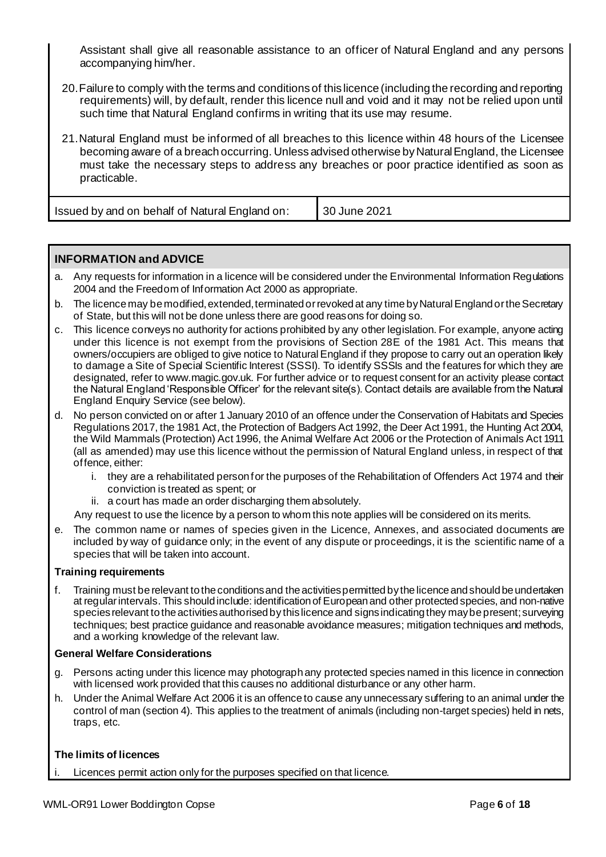Assistant shall give all reasonable assistance to an officer of Natural England and any persons accompanying him/her.

- 20.Failure to comply with the terms and conditions of this licence (including the recording and reporting requirements) will, by default, render this licence null and void and it may not be relied upon until such time that Natural England confirms in writing that its use may resume.
- 21.Natural England must be informed of all breaches to this licence within 48 hours of the Licensee becoming aware of a breach occurring. Unless advised otherwise by Natural England, the Licensee must take the necessary steps to address any breaches or poor practice identified as soon as practicable.

| Issued by and on behalf of Natural England on: | 30 June 2021 |
|------------------------------------------------|--------------|
|                                                |              |

## **INFORMATION and ADVICE**

- a. Any requests for information in a licence will be considered under the Environmental Information Regulations 2004 and the Freedom of Information Act 2000 as appropriate.
- b. The licence may be modified, extended, terminated or revoked at any time by Natural England or the Secretary of State, but this will not be done unless there are good reasons for doing so.
- c. This licence conveys no authority for actions prohibited by any other legislation. For example, anyone acting under this licence is not exempt from the provisions of Section 28E of the 1981 Act. This means that owners/occupiers are obliged to give notice to Natural England if they propose to carry out an operation likely to damage a Site of Special Scientific Interest (SSSI). To identify SSSIs and the features for which they are designated, refer to www.magic.gov.uk. For further advice or to request consent for an activity please contact the Natural England 'Responsible Officer' for the relevant site(s). Contact details are available from the Natural England Enquiry Service (see below).
- d. No person convicted on or after 1 January 2010 of an offence under the Conservation of Habitats and Species Regulations 2017, the 1981 Act, the Protection of Badgers Act 1992, the Deer Act 1991, the Hunting Act 2004, the Wild Mammals (Protection) Act 1996, the Animal Welfare Act 2006 or the Protection of Animals Act 1911 (all as amended) may use this licence without the permission of Natural England unless, in respect of that offence, either:
	- i. they are a rehabilitated person for the purposes of the Rehabilitation of Offenders Act 1974 and their conviction is treated as spent; or
	- ii. a court has made an order discharging them absolutely.
	- Any request to use the licence by a person to whom this note applies will be considered on its merits.
- e. The common name or names of species given in the Licence, Annexes, and associated documents are included by way of guidance only; in the event of any dispute or proceedings, it is the scientific name of a species that will be taken into account.

#### **Training requirements**

f. Training must be relevant to the conditions and the activities permitted by the licence and should be undertaken at regular intervals. This should include: identification of European and other protected species, and non-native species relevant to the activities authorised by this licence and signs indicating they may be present; surveying techniques; best practice guidance and reasonable avoidance measures; mitigation techniques and methods, and a working knowledge of the relevant law.

#### **General Welfare Considerations**

- g. Persons acting under this licence may photograph any protected species named in this licence in connection with licensed work provided that this causes no additional disturbance or any other harm.
- h. Under the Animal Welfare Act 2006 it is an offence to cause any unnecessary suffering to an animal under the control of man (section 4). This applies to the treatment of animals (including non-target species) held in nets, traps, etc.

## **The limits of licences**

Licences permit action only for the purposes specified on that licence.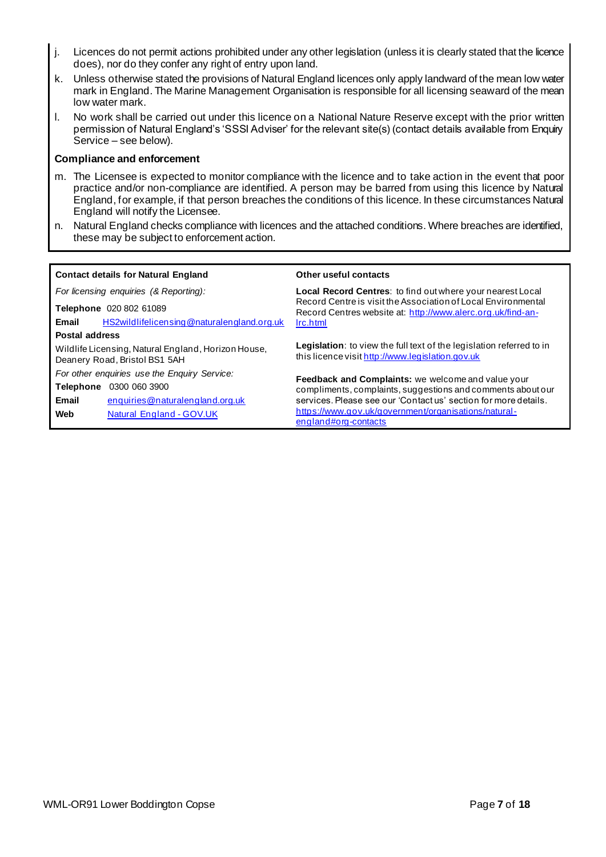- j. Licences do not permit actions prohibited under any other legislation (unless it is clearly stated that the licence does), nor do they confer any right of entry upon land.
- k. Unless otherwise stated the provisions of Natural England licences only apply landward of the mean low water mark in England. The Marine Management Organisation is responsible for all licensing seaward of the mean low water mark.
- l. No work shall be carried out under this licence on a National Nature Reserve except with the prior written permission of Natural England's 'SSSI Adviser' for the relevant site(s) (contact details available from Enquiry Service – see below).

#### **Compliance and enforcement**

- m. The Licensee is expected to monitor compliance with the licence and to take action in the event that poor practice and/or non-compliance are identified. A person may be barred from using this licence by Natural England, for example, if that person breaches the conditions of this licence. In these circumstances Natural England will notify the Licensee.
- n. Natural England checks compliance with licences and the attached conditions. Where breaches are identified, these may be subject to enforcement action.

| <b>Contact details for Natural England</b>                                           | Other useful contacts                                                                                                           |
|--------------------------------------------------------------------------------------|---------------------------------------------------------------------------------------------------------------------------------|
| For licensing enquiries (& Reporting):                                               | <b>Local Record Centres: to find out where your nearest Local</b>                                                               |
| Telephone 020 802 61089                                                              | Record Centre is visit the Association of Local Environmental<br>Record Centres website at: http://www.alerc.org.uk/find-an-    |
| HS2wildlifelicensing@naturalengland.org.uk<br>Email                                  | Irc.html                                                                                                                        |
| <b>Postal address</b>                                                                |                                                                                                                                 |
| Wildlife Licensing, Natural England, Horizon House,<br>Deanery Road, Bristol BS1 5AH | <b>Legislation:</b> to view the full text of the legislation referred to in<br>this licence visit http://www.legislation.gov.uk |
| For other enquiries use the Enquiry Service:                                         |                                                                                                                                 |
| 0300 060 3900<br><b>Telephone</b>                                                    | <b>Feedback and Complaints:</b> we welcome and value your<br>compliments, complaints, suggestions and comments about our        |
| Email<br>enquiries@naturalengland.org.uk                                             | services. Please see our 'Contactus' section for more details.                                                                  |
| Web<br>Natural England - GOV.UK                                                      | https://www.gov.uk/government/organisations/natural-<br>england#org-contacts                                                    |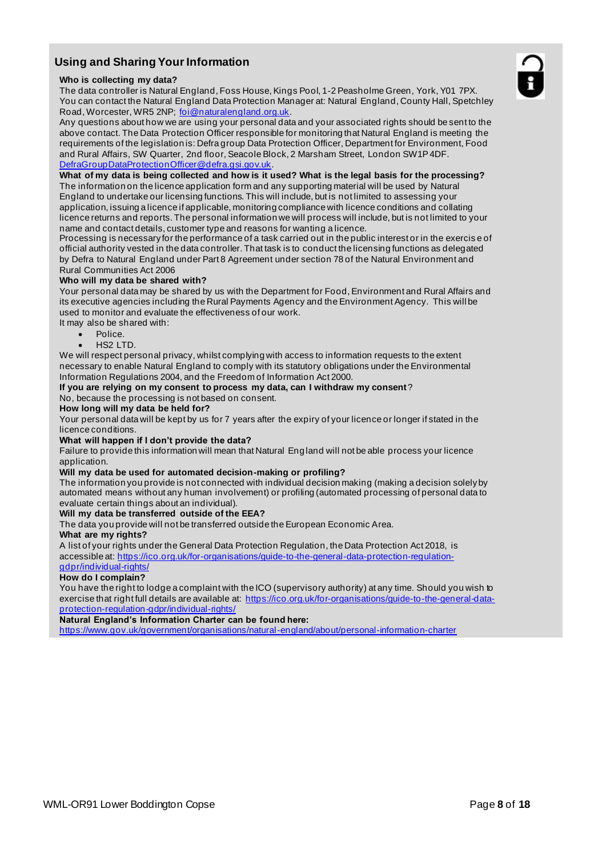## **Using and Sharing Your Information**

#### **Who is collecting my data?**

The data controller is Natural England, Foss House, Kings Pool, 1-2 Peasholme Green, York, Y01 7PX. You can contact the Natural England Data Protection Manager at: Natural England, County Hall, Spetchley Road, Worcester, WR5 2NP; foi@naturalengland.org.uk.

Any questions about how we are using your personal data and your associated rights should be sent to the above contact. The Data Protection Officer responsible for monitoring that Natural England is meeting the requirements of the legislation is: Defra group Data Protection Officer, Department for Environment, Food and Rural Affairs, SW Quarter, 2nd floor, Seacole Block, 2 Marsham Street, London SW1P 4DF. DefraGroupDataProtectionOfficer@defra.gsi.gov.uk.

**What of my data is being collected and how is it used? What is the legal basis for the processing?** The information on the licence application form and any supporting material will be used by Natural England to undertake our licensing functions. This will include, but is not limited to assessing your application, issuing a licence if applicable, monitoring compliance with licence conditions and collating licence returns and reports. The personal information we will process will include, but is not limited to your name and contact details, customer type and reasons for wanting a licence.

Processing is necessary for the performance of a task carried out in the public interest or in the exercis e of official authority vested in the data controller. That task is to conduct the licensing functions as delegated by Defra to Natural England under Part 8 Agreement under section 78 of the Natural Environment and Rural Communities Act 2006

#### **Who will my data be shared with?**

Your personal data may be shared by us with the Department for Food, Environment and Rural Affairs and its executive agencies including the Rural Payments Agency and the Environment Agency. This will be used to monitor and evaluate the effectiveness of our work.

- It may also be shared with:
	- Police.
	- $HS2$  LTD.

We will respect personal privacy, whilst complying with access to information requests to the extent necessary to enable Natural England to comply with its statutory obligations under the Environmental Information Regulations 2004, and the Freedom of Information Act 2000.

**If you are relying on my consent to process my data, can I withdraw my consent**?

No, because the processing is not based on consent.

#### **How long will my data be held for?**

Your personal data will be kept by us for 7 years after the expiry of your licence or longer if stated in the licence conditions.

#### **What will happen if I don't provide the data?**

Failure to provide this information will mean that Natural Eng land will not be able process your licence application.

#### **Will my data be used for automated decision-making or profiling?**

The information you provide is not connected with individual decision making (making a decision solely by automated means without any human involvement) or profiling (automated processing of personal data to evaluate certain things about an individual).

#### **Will my data be transferred outside of the EEA?**

The data you provide will not be transferred outside the European Economic Area.

#### **What are my rights?**

A list of your rights under the General Data Protection Regulation, the Data Protection Act 2018, is accessible at: https://ico.org.uk/for-organisations/guide-to-the-general-data-protection-regulationgdpr/individual-rights/

#### **How do I complain?**

You have the right to lodge a complaint with the ICO (supervisory authority) at any time. Should you wish to exercise that right full details are available at: https://ico.org.uk/for-organisations/guide-to-the-general-dataprotection-regulation-gdpr/individual-rights/

#### **Natural England's Information Charter can be found here:**

https://www.gov.uk/government/organisations/natural-england/about/personal-information-charter

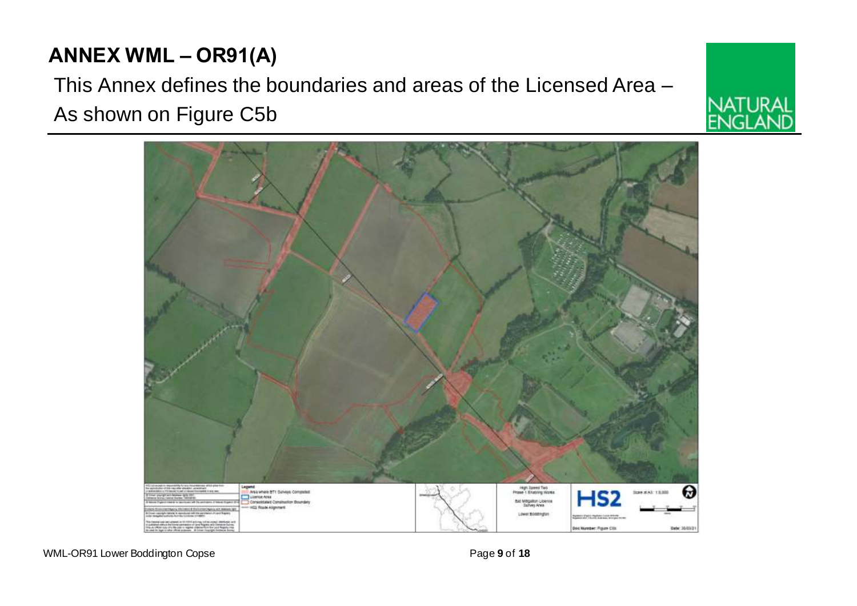# **ANNEX WML – OR91(A)**

This Annex defines the boundaries and areas of the Licensed Area – As shown on Figure C5b



WML-OR91 Lower Boddington Copse **Page 9** of **18** Page 9 of **18** 



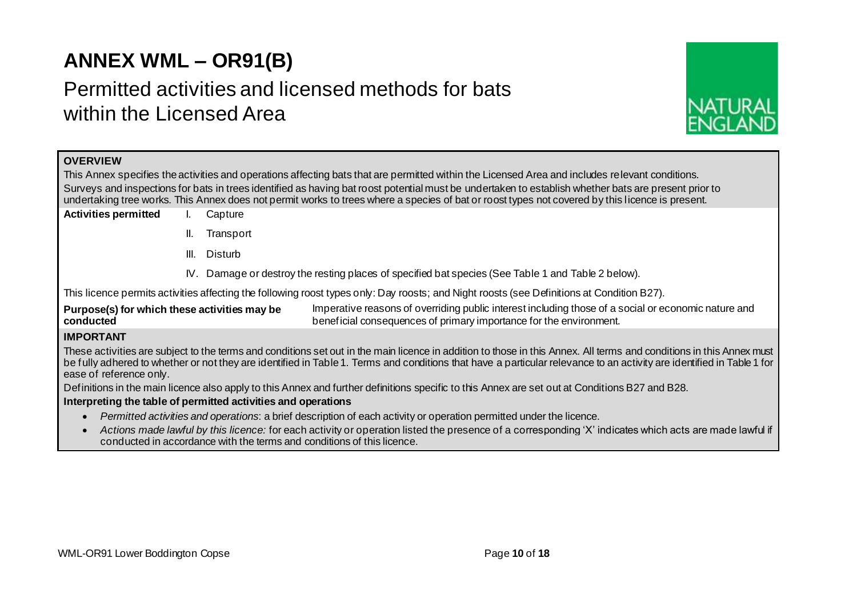# **ANNEX WML – OR91(B)**

# Permitted activities and licensed methods for bats within the Licensed Area



## **OVERVIEW**

This Annex specifies the activities and operations affecting bats that are permitted within the Licensed Area and includes relevant conditions. Surveys and inspections for bats in trees identified as having bat roost potential must be undertaken to establish whether bats are present prior to undertaking tree works. This Annex does not permit works to trees where a species of bat or roost types not covered by this licence is present.

- **Activities permitted** I. Capture
	- II. Transport
	- III. Disturb
	- IV. Damage or destroy the resting places of specified bat species (See Table 1 and Table 2 below).

This licence permits activities affecting the following roost types only: Day roosts; and Night roosts (see Definitions at Condition B27).

**Purpose(s) for which these activities may be conducted** Imperative reasons of overriding public interest including those of a social or economic nature and beneficial consequences of primary importance for the environment.

## **IMPORTANT**

These activities are subject to the terms and conditions set out in the main licence in addition to those in this Annex. All terms and conditions in this Annex must be fully adhered to whether or not they are identified in Table 1. Terms and conditions that have a particular relevance to an activity are identified in Table 1 for ease of reference only.

Definitions in the main licence also apply to this Annex and further definitions specific to this Annex are set out at Conditions B27 and B28.

#### **Interpreting the table of permitted activities and operations**

- *Permitted activities and operations*: a brief description of each activity or operation permitted under the licence.
- *Actions made lawful by this licence:* for each activity or operation listed the presence of a corresponding 'X' indicates which acts are made lawful if conducted in accordance with the terms and conditions of this licence.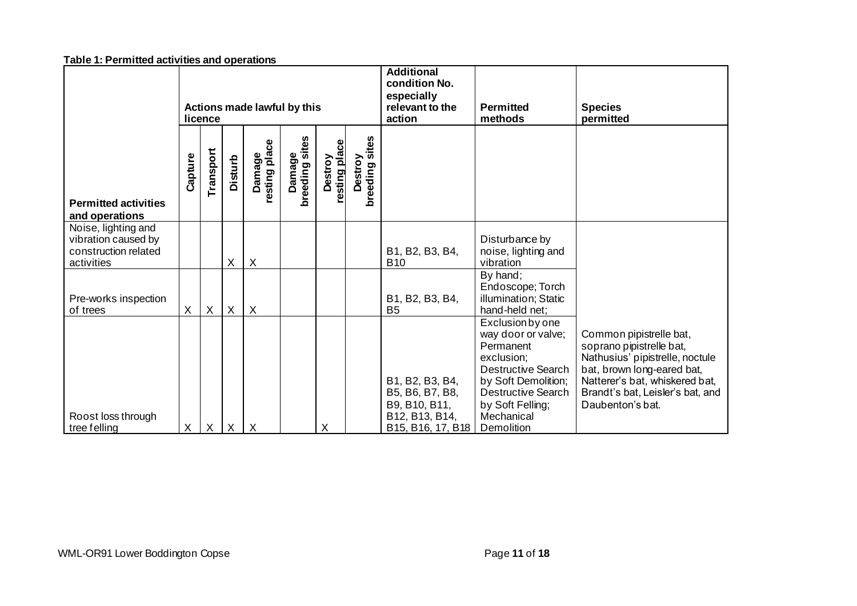|                                                                                  | Actions made lawful by this<br>licence |                  |                | <b>Additional</b><br>condition No.<br>especially<br>relevant to the<br>action | <b>Permitted</b><br>methods | <b>Species</b><br>permitted |                                     |                                                                                            |                                                                                                                                                                                             |                                                                                                                                                                                                                |
|----------------------------------------------------------------------------------|----------------------------------------|------------------|----------------|-------------------------------------------------------------------------------|-----------------------------|-----------------------------|-------------------------------------|--------------------------------------------------------------------------------------------|---------------------------------------------------------------------------------------------------------------------------------------------------------------------------------------------|----------------------------------------------------------------------------------------------------------------------------------------------------------------------------------------------------------------|
| <b>Permitted activities</b><br>and operations                                    | Capture                                | Transport        | <b>Disturb</b> | Damage<br>resting place                                                       | breeding sites<br>Damage    | resting place<br>Destroy    | Destroy<br>coding sites<br>breeding |                                                                                            |                                                                                                                                                                                             |                                                                                                                                                                                                                |
| Noise, lighting and<br>vibration caused by<br>construction related<br>activities |                                        |                  | X              | X                                                                             |                             |                             |                                     | B1, B2, B3, B4,<br><b>B10</b>                                                              | Disturbance by<br>noise, lighting and<br>vibration                                                                                                                                          |                                                                                                                                                                                                                |
| Pre-works inspection<br>of trees                                                 | X                                      | $\boldsymbol{X}$ | $\times$       | X                                                                             |                             |                             |                                     | B1, B2, B3, B4,<br>B <sub>5</sub>                                                          | By hand;<br>Endoscope; Torch<br>illumination; Static<br>hand-held net;                                                                                                                      |                                                                                                                                                                                                                |
| Roost loss through<br>tree felling                                               | X                                      | $\mathsf{X}$     | $\mathsf{X}$   | $\times$                                                                      |                             | X                           |                                     | B1, B2, B3, B4,<br>B5, B6, B7, B8,<br>B9, B10, B11,<br>B12, B13, B14,<br>B15, B16, 17, B18 | Exclusion by one<br>way door or valve;<br>Permanent<br>exclusion;<br><b>Destructive Search</b><br>by Soft Demolition;<br>Destructive Search<br>by Soft Felling;<br>Mechanical<br>Demolition | Common pipistrelle bat,<br>soprano pipistrelle bat,<br>Nathusius' pipistrelle, noctule<br>bat, brown long-eared bat,<br>Natterer's bat, whiskered bat,<br>Brandt's bat, Leisler's bat, and<br>Daubenton's bat. |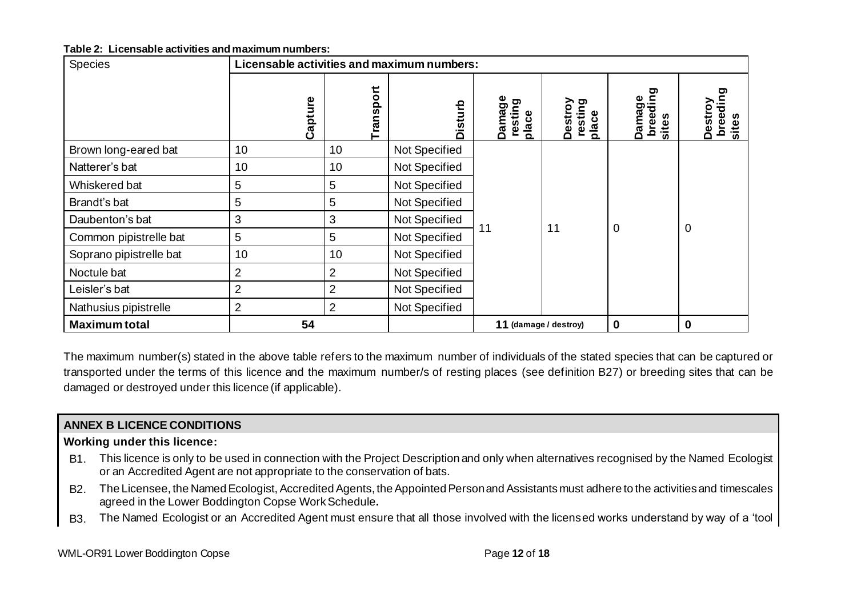#### **Table 2: Licensable activities and maximum numbers:**

| <b>Species</b>          | Licensable activities and maximum numbers: |                |                |                            |                             |                             |                                  |
|-------------------------|--------------------------------------------|----------------|----------------|----------------------------|-----------------------------|-----------------------------|----------------------------------|
|                         | Capture                                    | Transport      | <b>Disturb</b> | Damage<br>resting<br>place | resting<br>Destroy<br>place | breeding<br>Damage<br>sites | 0<br>breedin<br>Destroy<br>sites |
| Brown long-eared bat    | 10                                         | 10             | Not Specified  |                            |                             |                             |                                  |
| Natterer's bat          | 10                                         | 10             | Not Specified  |                            |                             |                             |                                  |
| Whiskered bat           | 5                                          | 5              | Not Specified  |                            |                             |                             |                                  |
| Brandt's bat            | 5                                          | 5              | Not Specified  |                            |                             |                             |                                  |
| Daubenton's bat         | 3                                          | 3              | Not Specified  | 11                         | 11                          | 0                           | $\mathbf 0$                      |
| Common pipistrelle bat  | 5                                          | 5              | Not Specified  |                            |                             |                             |                                  |
| Soprano pipistrelle bat | 10                                         | 10             | Not Specified  |                            |                             |                             |                                  |
| Noctule bat             | $\overline{2}$                             | $\overline{2}$ | Not Specified  |                            |                             |                             |                                  |
| Leisler's bat           | $\overline{2}$                             | $\overline{2}$ | Not Specified  |                            |                             |                             |                                  |
| Nathusius pipistrelle   | $\overline{2}$                             | $\overline{2}$ | Not Specified  |                            |                             |                             |                                  |
| <b>Maximum total</b>    | 54                                         |                |                | 11 (damage / destroy)      |                             | 0                           | $\mathbf 0$                      |

The maximum number(s) stated in the above table refers to the maximum number of individuals of the stated species that can be captured or transported under the terms of this licence and the maximum number/s of resting places (see definition B27) or breeding sites that can be damaged or destroyed under this licence (if applicable).

## **ANNEX B LICENCE CONDITIONS**

## **Working under this licence:**

- B1. This licence is only to be used in connection with the Project Description and only when alternatives recognised by the Named Ecologist or an Accredited Agent are not appropriate to the conservation of bats.
- B2. The Licensee, the Named Ecologist, Accredited Agents, the Appointed Person and Assistants must adhere to the activities and timescales agreed in the Lower Boddington Copse WorkSchedule**.**
- B3. The Named Ecologist or an Accredited Agent must ensure that all those involved with the licensed works understand by way of a 'tool

WML-OR91 Lower Boddington Copse **Page 12** of **18**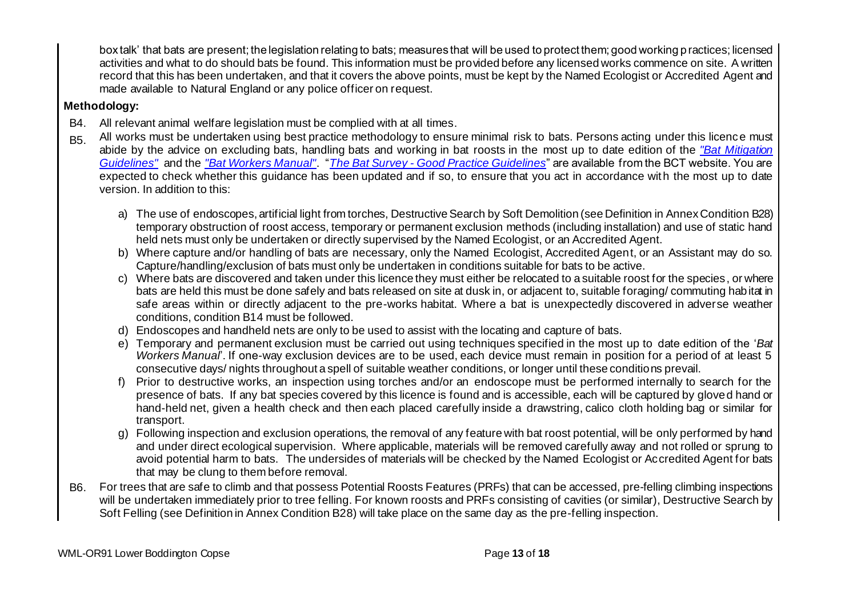box talk' that bats are present; the legislation relating to bats; measures that will be used to protect them; good working practices; licensed activities and what to do should bats be found. This information must be provided before any licensed works commence on site. A written record that this has been undertaken, and that it covers the above points, must be kept by the Named Ecologist or Accredited Agent and made available to Natural England or any police officer on request.

## **Methodology:**

- B4. All relevant animal welfare legislation must be complied with at all times.
- B5. All works must be undertaken using best practice methodology to ensure minimal risk to bats. Persons acting under this licence must abide by the advice on excluding bats, handling bats and working in bat roosts in the most up to date edition of the *"Bat Mitigation Guidelines"* and the *"Bat Workers Manual"*. "*The Bat Survey - Good Practice Guidelines*" are available from the BCT website. You are expected to check whether this guidance has been updated and if so, to ensure that you act in accordance with the most up to date version. In addition to this:
	- a) The use of endoscopes, artificial light from torches, Destructive Search by Soft Demolition (see Definition in Annex Condition B28) temporary obstruction of roost access, temporary or permanent exclusion methods (including installation) and use of static hand held nets must only be undertaken or directly supervised by the Named Ecologist, or an Accredited Agent.
	- b) Where capture and/or handling of bats are necessary, only the Named Ecologist, Accredited Agent, or an Assistant may do so. Capture/handling/exclusion of bats must only be undertaken in conditions suitable for bats to be active.
	- c) Where bats are discovered and taken under this licence they must either be relocated to a suitable roost for the species, or where bats are held this must be done safely and bats released on site at dusk in, or adjacent to, suitable foraging/ commuting habitat in safe areas within or directly adjacent to the pre-works habitat. Where a bat is unexpectedly discovered in adverse weather conditions, condition B14 must be followed.
	- d) Endoscopes and handheld nets are only to be used to assist with the locating and capture of bats.
	- e) Temporary and permanent exclusion must be carried out using techniques specified in the most up to date edition of the '*Bat Workers Manual*'. If one-way exclusion devices are to be used, each device must remain in position for a period of at least 5 consecutive days/ nights throughout a spell of suitable weather conditions, or longer until these conditions prevail.
	- f) Prior to destructive works, an inspection using torches and/or an endoscope must be performed internally to search for the presence of bats. If any bat species covered by this licence is found and is accessible, each will be captured by gloved hand or hand-held net, given a health check and then each placed carefully inside a drawstring, calico cloth holding bag or similar for transport.
	- g) Following inspection and exclusion operations, the removal of any feature with bat roost potential, will be only performed by hand and under direct ecological supervision. Where applicable, materials will be removed carefully away and not rolled or sprung to avoid potential harm to bats. The undersides of materials will be checked by the Named Ecologist or Accredited Agent for bats that may be clung to them before removal.
- B6. For trees that are safe to climb and that possess Potential Roosts Features (PRFs) that can be accessed, pre-felling climbing inspections will be undertaken immediately prior to tree felling. For known roosts and PRFs consisting of cavities (or similar), Destructive Search by Soft Felling (see Definition in Annex Condition B28) will take place on the same day as the pre-felling inspection.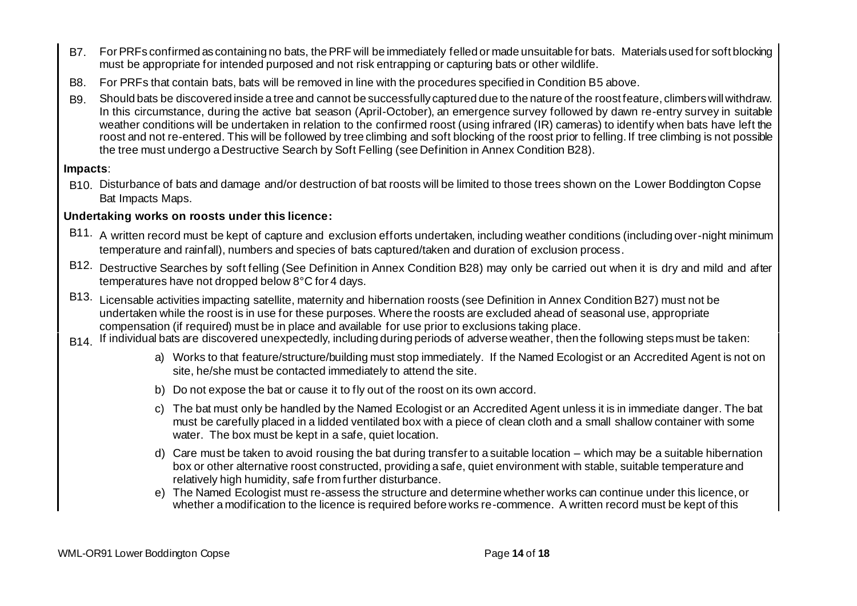- B7. For PRFs confirmed as containing no bats, the PRF will be immediately felled or made unsuitable for bats. Materials used for soft blocking must be appropriate for intended purposed and not risk entrapping or capturing bats or other wildlife.
- B8. For PRFs that contain bats, bats will be removed in line with the procedures specified in Condition B5 above.
- B9. Should bats be discovered inside a tree and cannot be successfully captured due to the nature of the roost feature, climbers will withdraw. In this circumstance, during the active bat season (April-October), an emergence survey followed by dawn re-entry survey in suitable weather conditions will be undertaken in relation to the confirmed roost (using infrared (IR) cameras) to identify when bats have left the roost and not re-entered. This will be followed by tree climbing and soft blocking of the roost prior to felling. If tree climbing is not possible the tree must undergo a Destructive Search by Soft Felling (see Definition in Annex Condition B28).

## **Impacts**:

B10. Disturbance of bats and damage and/or destruction of bat roosts will be limited to those trees shown on the Lower Boddington Copse Bat Impacts Maps.

## **Undertaking works on roosts under this licence:**

- B11. A written record must be kept of capture and exclusion efforts undertaken, including weather conditions (including over-night minimum temperature and rainfall), numbers and species of bats captured/taken and duration of exclusion process.
- B12. Destructive Searches by soft felling (See Definition in Annex Condition B28) may only be carried out when it is dry and mild and after temperatures have not dropped below 8°C for 4 days.
- B13. Licensable activities impacting satellite, maternity and hibernation roosts (see Definition in Annex Condition B27) must not be undertaken while the roost is in use for these purposes. Where the roosts are excluded ahead of seasonal use, appropriate compensation (if required) must be in place and available for use prior to exclusions taking place.
- B<sub>14</sub>. If individual bats are discovered unexpectedly, including during periods of adverse weather, then the following steps must be taken:
	- a) Works to that feature/structure/building must stop immediately. If the Named Ecologist or an Accredited Agent is not on site, he/she must be contacted immediately to attend the site.
	- b) Do not expose the bat or cause it to fly out of the roost on its own accord.
	- c) The bat must only be handled by the Named Ecologist or an Accredited Agent unless it is in immediate danger. The bat must be carefully placed in a lidded ventilated box with a piece of clean cloth and a small shallow container with some water. The box must be kept in a safe, quiet location.
	- d) Care must be taken to avoid rousing the bat during transfer to a suitable location which may be a suitable hibernation box or other alternative roost constructed, providing a safe, quiet environment with stable, suitable temperature and relatively high humidity, safe from further disturbance.
	- e) The Named Ecologist must re-assess the structure and determine whether works can continue under this licence, or whether a modification to the licence is required before works re-commence. A written record must be kept of this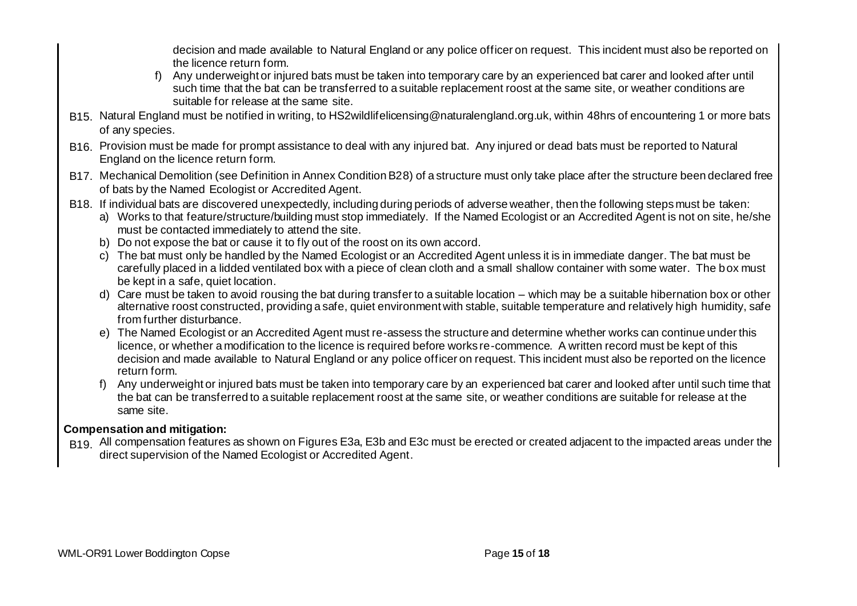decision and made available to Natural England or any police officer on request. This incident must also be reported on the licence return form.

- f) Any underweight or injured bats must be taken into temporary care by an experienced bat carer and looked after until such time that the bat can be transferred to a suitable replacement roost at the same site, or weather conditions are suitable for release at the same site.
- B15. Natural England must be notified in writing, to HS2wildlifelicensing@naturalengland.org.uk, within 48hrs of encountering 1 or more bats of any species.
- B16. Provision must be made for prompt assistance to deal with any injured bat. Any injured or dead bats must be reported to Natural England on the licence return form.
- B17. Mechanical Demolition (see Definition in Annex Condition B28) of a structure must only take place after the structure been declared free of bats by the Named Ecologist or Accredited Agent.
- B18. If individual bats are discovered unexpectedly, including during periods of adverse weather, then the following steps must be taken:
	- a) Works to that feature/structure/building must stop immediately. If the Named Ecologist or an Accredited Agent is not on site, he/she must be contacted immediately to attend the site.
	- b) Do not expose the bat or cause it to fly out of the roost on its own accord.
	- c) The bat must only be handled by the Named Ecologist or an Accredited Agent unless it is in immediate danger. The bat must be carefully placed in a lidded ventilated box with a piece of clean cloth and a small shallow container with some water. The box must be kept in a safe, quiet location.
	- d) Care must be taken to avoid rousing the bat during transfer to a suitable location which may be a suitable hibernation box or other alternative roost constructed, providing a safe, quiet environment with stable, suitable temperature and relatively high humidity, safe from further disturbance.
	- e) The Named Ecologist or an Accredited Agent must re-assess the structure and determine whether works can continue under this licence, or whether a modification to the licence is required before works re-commence. A written record must be kept of this decision and made available to Natural England or any police officer on request. This incident must also be reported on the licence return form.
	- f) Any underweight or injured bats must be taken into temporary care by an experienced bat carer and looked after until such time that the bat can be transferred to a suitable replacement roost at the same site, or weather conditions are suitable for release at the same site.

## **Compensation and mitigation:**

B<sub>19.</sub> All compensation features as shown on Figures E3a, E3b and E3c must be erected or created adjacent to the impacted areas under the direct supervision of the Named Ecologist or Accredited Agent.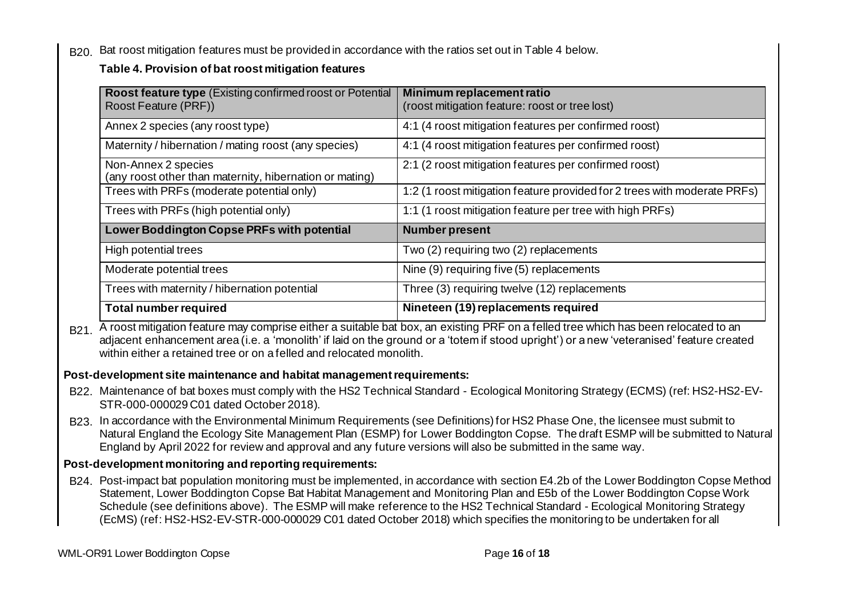B<sub>20.</sub> Bat roost mitigation features must be provided in accordance with the ratios set out in Table 4 below.

## **Table 4. Provision of bat roost mitigation features**

| Roost feature type (Existing confirmed roost or Potential<br>Roost Feature (PRF)) | Minimum replacement ratio<br>(roost mitigation feature: roost or tree lost) |  |  |  |  |
|-----------------------------------------------------------------------------------|-----------------------------------------------------------------------------|--|--|--|--|
| Annex 2 species (any roost type)                                                  | 4:1 (4 roost mitigation features per confirmed roost)                       |  |  |  |  |
| Maternity / hibernation / mating roost (any species)                              | 4:1 (4 roost mitigation features per confirmed roost)                       |  |  |  |  |
| Non-Annex 2 species<br>(any roost other than maternity, hibernation or mating)    | 2:1 (2 roost mitigation features per confirmed roost)                       |  |  |  |  |
| Trees with PRFs (moderate potential only)                                         | 1:2 (1 roost mitigation feature provided for 2 trees with moderate PRFs)    |  |  |  |  |
| Trees with PRFs (high potential only)                                             | 1:1 (1 roost mitigation feature per tree with high PRFs)                    |  |  |  |  |
| Lower Boddington Copse PRFs with potential                                        | <b>Number present</b>                                                       |  |  |  |  |
| High potential trees                                                              | Two (2) requiring two (2) replacements                                      |  |  |  |  |
| Moderate potential trees                                                          | Nine (9) requiring five (5) replacements                                    |  |  |  |  |
| Trees with maternity / hibernation potential                                      | Three (3) requiring twelve (12) replacements                                |  |  |  |  |
| <b>Total number required</b>                                                      | Nineteen (19) replacements required                                         |  |  |  |  |

B<sub>21</sub>. A roost mitigation feature may comprise either a suitable bat box, an existing PRF on a felled tree which has been relocated to an adjacent enhancement area (i.e. a 'monolith' if laid on the ground or a 'totem if stood upright') or a new 'veteranised' feature created within either a retained tree or on a felled and relocated monolith.

## **Post-development site maintenance and habitat management requirements:**

- B22. Maintenance of bat boxes must comply with the HS2 Technical Standard Ecological Monitoring Strategy (ECMS) (ref: HS2-HS2-EV-STR-000-000029 C01 dated October 2018).
- B23. In accordance with the Environmental Minimum Requirements (see Definitions) for HS2 Phase One, the licensee must submit to Natural England the Ecology Site Management Plan (ESMP) for Lower Boddington Copse. The draft ESMP will be submitted to Natural England by April 2022 for review and approval and any future versions will also be submitted in the same way.

## **Post-development monitoring and reporting requirements:**

B24. Post-impact bat population monitoring must be implemented, in accordance with section E4.2b of the Lower Boddington Copse Method Statement, Lower Boddington Copse Bat Habitat Management and Monitoring Plan and E5b of the Lower Boddington Copse Work Schedule (see definitions above). The ESMP will make reference to the HS2 Technical Standard - Ecological Monitoring Strategy (EcMS) (ref: HS2-HS2-EV-STR-000-000029 C01 dated October 2018) which specifies the monitoring to be undertaken for all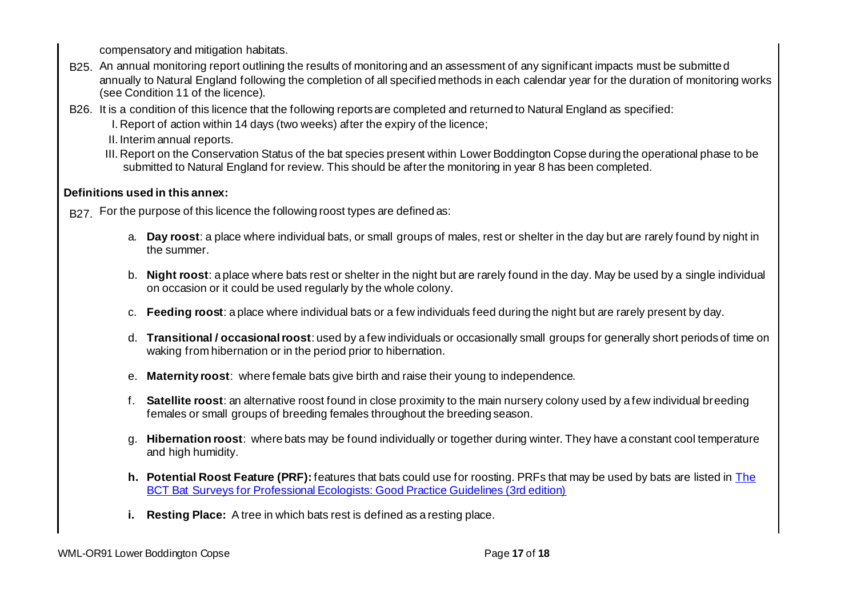compensatory and mitigation habitats.

- B25. An annual monitoring report outlining the results of monitoring and an assessment of any significant impacts must be submitted annually to Natural England following the completion of all specified methods in each calendar year for the duration of monitoring works (see Condition 11 of the licence).
- B26. It is a condition of this licence that the following reports are completed and returned to Natural England as specified:
	- I. Report of action within 14 days (two weeks) after the expiry of the licence;
	- II. Interim annual reports.
	- III. Report on the Conservation Status of the bat species present within Lower Boddington Copse during the operational phase to be submitted to Natural England for review. This should be after the monitoring in year 8 has been completed.

## **Definitions used in this annex:**

- B<sub>27</sub>. For the purpose of this licence the following roost types are defined as:
	- a. **Day roost**: a place where individual bats, or small groups of males, rest or shelter in the day but are rarely found by night in the summer.
	- b. **Night roost**: a place where bats rest or shelter in the night but are rarely found in the day. May be used by a single individual on occasion or it could be used regularly by the whole colony.
	- c. **Feeding roost**: a place where individual bats or a few individuals feed during the night but are rarely present by day.
	- d. **Transitional / occasional roost**: used by a few individuals or occasionally small groups for generally short periods of time on waking from hibernation or in the period prior to hibernation.
	- e. **Maternity roost**: where female bats give birth and raise their young to independence.
	- f. **Satellite roost**: an alternative roost found in close proximity to the main nursery colony used by a few individual breeding females or small groups of breeding females throughout the breeding season.
	- g. **Hibernation roost**: where bats may be found individually or together during winter. They have a constant cool temperature and high humidity.
	- **h. Potential Roost Feature (PRF):** features that bats could use for roosting. PRFs that may be used by bats are listed in The BCT Bat Surveys for Professional Ecologists: Good Practice Guidelines (3rd edition)
	- **i. Resting Place:** A tree in which bats rest is defined as a resting place.